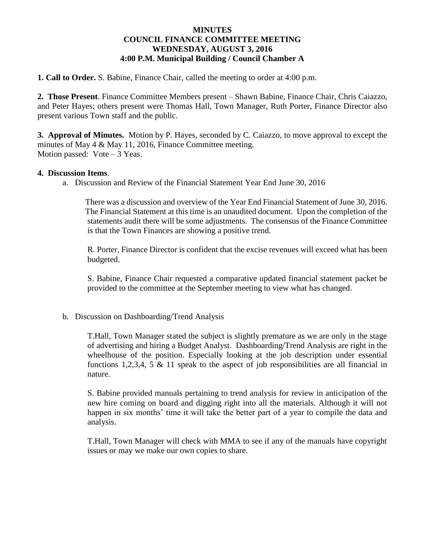## **MINUTES COUNCIL FINANCE COMMITTEE MEETING WEDNESDAY, AUGUST 3, 2016 4:00 P.M. Municipal Building / Council Chamber A**

**1. Call to Order.** S. Babine, Finance Chair, called the meeting to order at 4:00 p.m.

**2. Those Present**. Finance Committee Members present – Shawn Babine, Finance Chair, Chris Caiazzo, and Peter Hayes; others present were Thomas Hall, Town Manager, Ruth Porter, Finance Director also present various Town staff and the public.

**3. Approval of Minutes.** Motion by P. Hayes, seconded by C. Caiazzo, to move approval to except the minutes of May 4 & May 11, 2016, Finance Committee meeting. Motion passed:  $Vote-3$  Yeas.

## **4. Discussion Items**.

a. Discussion and Review of the Financial Statement Year End June 30, 2016

 There was a discussion and overview of the Year End Financial Statement of June 30, 2016. The Financial Statement at this time is an unaudited document. Upon the completion of the statements audit there will be some adjustments. The consensus of the Finance Committee is that the Town Finances are showing a positive trend.

R. Porter, Finance Director is confident that the excise revenues will exceed what has been budgeted.

S. Babine, Finance Chair requested a comparative updated financial statement packet be provided to the committee at the September meeting to view what has changed.

b. Discussion on Dashboarding/Trend Analysis

T.Hall, Town Manager stated the subject is slightly premature as we are only in the stage of advertising and hiring a Budget Analyst. Dashboarding/Trend Analysis are right in the wheelhouse of the position. Especially looking at the job description under essential functions 1,2,3,4, 5 & 11 speak to the aspect of job responsibilities are all financial in nature.

S. Babine provided manuals pertaining to trend analysis for review in anticipation of the new hire coming on board and digging right into all the materials. Although it will not happen in six months' time it will take the better part of a year to compile the data and analysis.

T.Hall, Town Manager will check with MMA to see if any of the manuals have copyright issues or may we make our own copies to share.